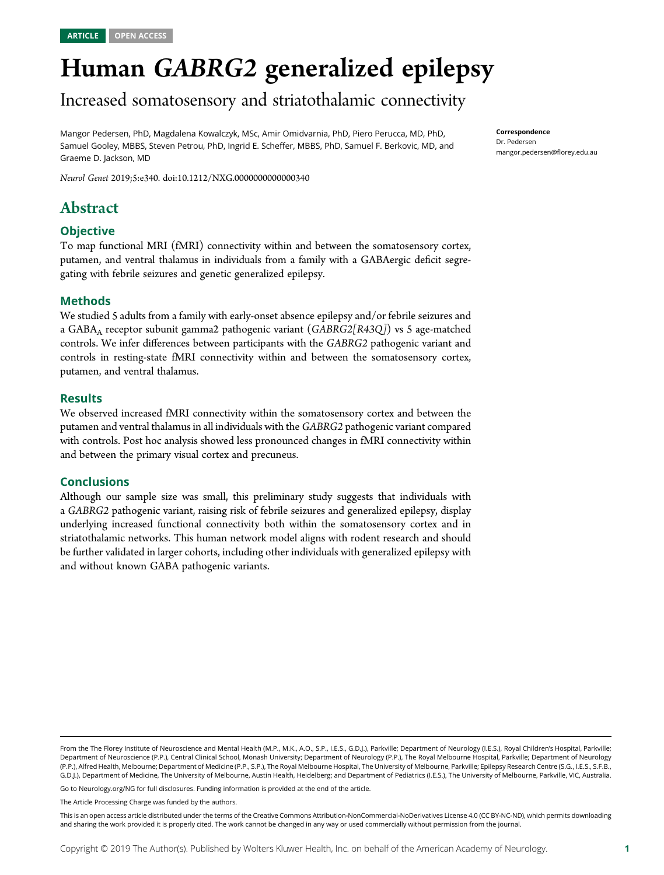# Human GABRG2 generalized epilepsy

# Increased somatosensory and striatothalamic connectivity

Mangor Pedersen, PhD, Magdalena Kowalczyk, MSc, Amir Omidvarnia, PhD, Piero Perucca, MD, PhD, Samuel Gooley, MBBS, Steven Petrou, PhD, Ingrid E. Scheffer, MBBS, PhD, Samuel F. Berkovic, MD, and Graeme D. Jackson, MD

Correspondence Dr. Pedersen [mangor.pedersen@florey.edu.au](mailto:mangor.pedersen@florey.edu.au)

Neurol Genet 2019;5:e340. doi:10.1212/NXG.0000000000000340

## Abstract

#### **Objective**

To map functional MRI (fMRI) connectivity within and between the somatosensory cortex, putamen, and ventral thalamus in individuals from a family with a GABAergic deficit segregating with febrile seizures and genetic generalized epilepsy.

#### Methods

We studied 5 adults from a family with early-onset absence epilepsy and/or febrile seizures and a GABA<sub>A</sub> receptor subunit gamma2 pathogenic variant  $(GABRG2[R43Q])$  vs 5 age-matched controls. We infer differences between participants with the GABRG2 pathogenic variant and controls in resting-state fMRI connectivity within and between the somatosensory cortex, putamen, and ventral thalamus.

#### **Results**

We observed increased fMRI connectivity within the somatosensory cortex and between the putamen and ventral thalamus in all individuals with the GABRG2 pathogenic variant compared with controls. Post hoc analysis showed less pronounced changes in fMRI connectivity within and between the primary visual cortex and precuneus.

#### Conclusions

Although our sample size was small, this preliminary study suggests that individuals with a GABRG2 pathogenic variant, raising risk of febrile seizures and generalized epilepsy, display underlying increased functional connectivity both within the somatosensory cortex and in striatothalamic networks. This human network model aligns with rodent research and should be further validated in larger cohorts, including other individuals with generalized epilepsy with and without known GABA pathogenic variants.

Go to [Neurology.org/NG](https://ng.neurology.org/content/5/3/e340/tab-article-info) for full disclosures. Funding information is provided at the end of the article.

The Article Processing Charge was funded by the authors.

From the The Florey Institute of Neuroscience and Mental Health (M.P., M.K., A.O., S.P., I.E.S., G.D.J.), Parkville; Department of Neurology (I.E.S.), Royal Children's Hospital, Parkville; Department of Neuroscience (P.P.), Central Clinical School, Monash University; Department of Neurology (P.P.), The Royal Melbourne Hospital, Parkville; Department of Neurology (P.P.), Alfred Health, Melbourne; Department of Medicine (P.P., S.P.), The Royal Melbourne Hospital, The University of Melbourne, Parkville; Epilepsy Research Centre (S.G., I.E.S., S.F.B., G.D.J.), Department of Medicine, The University of Melbourne, Austin Health, Heidelberg; and Department of Pediatrics (I.E.S.), The University of Melbourne, Parkville, VIC, Australia.

This is an open access article distributed under the terms of the [Creative Commons Attribution-NonCommercial-NoDerivatives License 4.0 \(CC BY-NC-ND\),](http://creativecommons.org/licenses/by-nc-nd/4.0/) which permits downloading and sharing the work provided it is properly cited. The work cannot be changed in any way or used commercially without permission from the journal.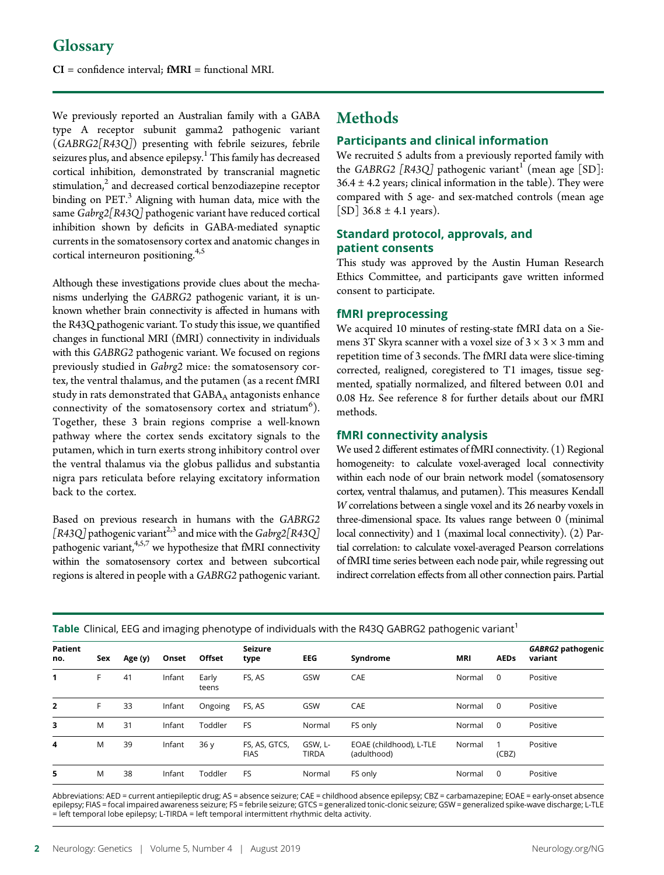$CI =$  confidence interval;  $fMRI =$  functional MRI.

We previously reported an Australian family with a GABA type A receptor subunit gamma2 pathogenic variant (GABRG2[R43Q]) presenting with febrile seizures, febrile seizures plus, and absence epilepsy. $^1$  This family has decreased cortical inhibition, demonstrated by transcranial magnetic stimulation, $2$  and decreased cortical benzodiazepine receptor binding on  $PET$ <sup>3</sup>. Aligning with human data, mice with the same Gabrg2[R43Q] pathogenic variant have reduced cortical inhibition shown by deficits in GABA-mediated synaptic currents in the somatosensory cortex and anatomic changes in cortical interneuron positioning.<sup>4,5</sup>

Although these investigations provide clues about the mechanisms underlying the GABRG2 pathogenic variant, it is unknown whether brain connectivity is affected in humans with the R43Q pathogenic variant. To study this issue, we quantified changes in functional MRI (fMRI) connectivity in individuals with this GABRG2 pathogenic variant. We focused on regions previously studied in Gabrg2 mice: the somatosensory cortex, the ventral thalamus, and the putamen (as a recent fMRI study in rats demonstrated that  $GABA_A$  antagonists enhance connectivity of the somatosensory cortex and striatum<sup>6</sup>). Together, these 3 brain regions comprise a well-known pathway where the cortex sends excitatory signals to the putamen, which in turn exerts strong inhibitory control over the ventral thalamus via the globus pallidus and substantia nigra pars reticulata before relaying excitatory information back to the cortex.

Based on previous research in humans with the GABRG2  $\left[$  R43Q] pathogenic variant  $^{2,3}$  and mice with the Gabrg2  $\left[$  R43Q  $\right]$ pathogenic variant, $4,5,7$  we hypothesize that fMRI connectivity within the somatosensory cortex and between subcortical regions is altered in people with a GABRG2 pathogenic variant.

### Methods

#### Participants and clinical information

We recruited 5 adults from a previously reported family with the GABRG2 [R43Q] pathogenic variant<sup>1</sup> (mean age [SD]:  $36.4 \pm 4.2$  years; clinical information in the table). They were compared with 5 age- and sex-matched controls (mean age  $[SD] 36.8 \pm 4.1 \text{ years}.$ 

#### Standard protocol, approvals, and patient consents

This study was approved by the Austin Human Research Ethics Committee, and participants gave written informed consent to participate.

#### fMRI preprocessing

We acquired 10 minutes of resting-state fMRI data on a Siemens 3T Skyra scanner with a voxel size of  $3 \times 3 \times 3$  mm and repetition time of 3 seconds. The fMRI data were slice-timing corrected, realigned, coregistered to T1 images, tissue segmented, spatially normalized, and filtered between 0.01 and 0.08 Hz. See reference 8 for further details about our fMRI methods.

#### fMRI connectivity analysis

We used 2 different estimates of fMRI connectivity. (1) Regional homogeneity: to calculate voxel-averaged local connectivity within each node of our brain network model (somatosensory cortex, ventral thalamus, and putamen). This measures Kendall W correlations between a single voxel and its 26 nearby voxels in three-dimensional space. Its values range between 0 (minimal local connectivity) and 1 (maximal local connectivity). (2) Partial correlation: to calculate voxel-averaged Pearson correlations of fMRI time series between each node pair, while regressing out indirect correlation effects from all other connection pairs. Partial

|  |  |  |  | Table Clinical, EEG and imaging phenotype of individuals with the R43Q GABRG2 pathogenic variant <sup>1</sup> |  |
|--|--|--|--|---------------------------------------------------------------------------------------------------------------|--|
|  |  |  |  |                                                                                                               |  |

| <b>Patient</b><br>no. | Sex | Age (y) | Onset  | <b>Offset</b>  | <b>Seizure</b><br>type       | <b>EEG</b>              | Syndrome                               | <b>MRI</b> | <b>AEDs</b> | GABRG2 pathogenic<br>variant |
|-----------------------|-----|---------|--------|----------------|------------------------------|-------------------------|----------------------------------------|------------|-------------|------------------------------|
| 1                     | F   | 41      | Infant | Early<br>teens | FS, AS                       | GSW                     | <b>CAE</b>                             | Normal     | $\Omega$    | Positive                     |
| $\overline{2}$        | F   | 33      | Infant | Ongoing        | FS, AS                       | GSW                     | <b>CAE</b>                             | Normal     | $\Omega$    | Positive                     |
| 3                     | M   | 31      | Infant | Toddler        | FS                           | Normal                  | FS only                                | Normal     | $\Omega$    | Positive                     |
| 4                     | M   | 39      | Infant | 36 y           | FS, AS, GTCS,<br><b>FIAS</b> | GSW, L-<br><b>TIRDA</b> | EOAE (childhood), L-TLE<br>(adulthood) | Normal     | (CBZ)       | Positive                     |
| 5                     | M   | 38      | Infant | Toddler        | FS                           | Normal                  | FS only                                | Normal     | $\Omega$    | Positive                     |

Abbreviations: AED = current antiepileptic drug; AS = absence seizure; CAE = childhood absence epilepsy; CBZ = carbamazepine; EOAE = early-onset absence epilepsy; FIAS = focal impaired awareness seizure; FS = febrile seizure; GTCS = generalized tonic-clonic seizure; GSW = generalized spike-wave discharge; L-TLE = left temporal lobe epilepsy; L-TIRDA = left temporal intermittent rhythmic delta activity.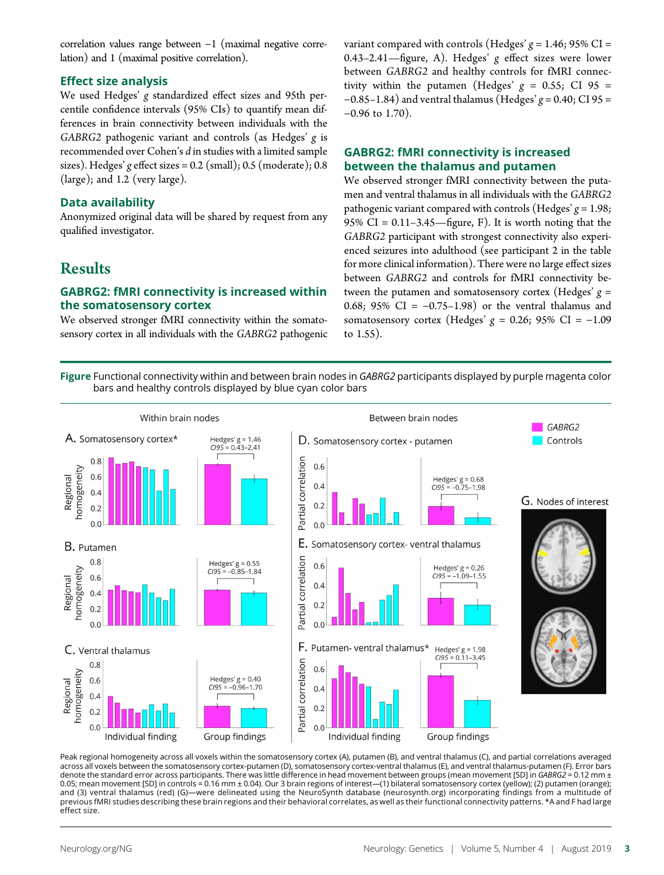correlation values range between −1 (maximal negative correlation) and 1 (maximal positive correlation).

#### Effect size analysis

We used Hedges' g standardized effect sizes and 95th percentile confidence intervals (95% CIs) to quantify mean differences in brain connectivity between individuals with the GABRG2 pathogenic variant and controls (as Hedges' g is recommended over Cohen's d in studies with a limited sample sizes). Hedges' g effect sizes =  $0.2$  (small);  $0.5$  (moderate);  $0.8$ (large); and 1.2 (very large).

#### Data availability

Anonymized original data will be shared by request from any qualified investigator.

# Results

#### GABRG2: fMRI connectivity is increased within the somatosensory cortex

We observed stronger fMRI connectivity within the somatosensory cortex in all individuals with the GABRG2 pathogenic variant compared with controls (Hedges'  $g = 1.46$ ; 95% CI = 0.43–2.41—figure, A). Hedges' g effect sizes were lower between GABRG2 and healthy controls for fMRI connectivity within the putamen (Hedges'  $g = 0.55$ ; CI 95 =  $-0.85-1.84$ ) and ventral thalamus (Hedges' g = 0.40; CI 95 = −0.96 to 1.70).

#### GABRG2: fMRI connectivity is increased between the thalamus and putamen

We observed stronger fMRI connectivity between the putamen and ventral thalamus in all individuals with the GABRG2 pathogenic variant compared with controls (Hedges'  $g = 1.98$ ; 95% CI =  $0.11-3.45$ —figure, F). It is worth noting that the GABRG2 participant with strongest connectivity also experienced seizures into adulthood (see participant 2 in the table for more clinical information). There were no large effect sizes between GABRG2 and controls for fMRI connectivity between the putamen and somatosensory cortex (Hedges'  $g =$ 0.68; 95% CI = −0.75–1.98) or the ventral thalamus and somatosensory cortex (Hedges'  $g = 0.26$ ; 95% CI = -1.09 to 1.55).

Figure Functional connectivity within and between brain nodes in GABRG2 participants displayed by purple magenta color bars and healthy controls displayed by blue cyan color bars



Peak regional homogeneity across all voxels within the somatosensory cortex (A), putamen (B), and ventral thalamus (C), and partial correlations averaged across all voxels between the somatosensory cortex-putamen (D), somatosensory cortex-ventral thalamus (E), and ventral thalamus-putamen (F). Error bars denote the standard error across participants. There was little difference in head movement between groups (mean movement [SD] in GABRG2 = 0.12 mm  $\pm$ 0.05; mean movement [SD] in controls = 0.16 mm ± 0.04). Our 3 brain regions of interest—(1) bilateral somatosensory cortex (yellow); (2) putamen (orange); and (3) ventral thalamus (red) (G)—were delineated using the NeuroSynth database [\(neurosynth.org\)](http://neurosynth.org/) incorporating findings from a multitude of previous fMRI studies describing these brain regions and their behavioral correlates, as well as their functional connectivity patterns. \*A and F had large effect size.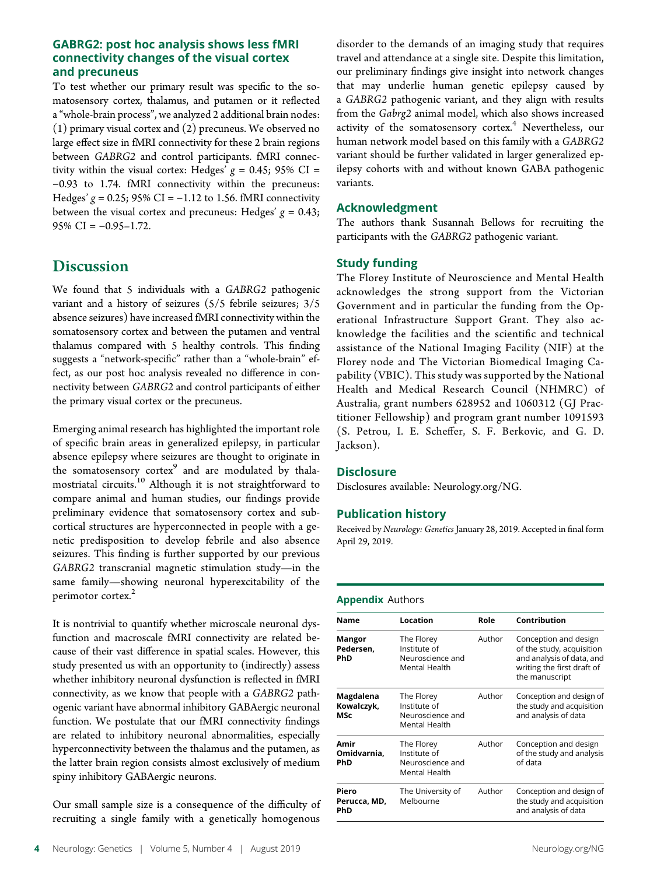#### GABRG2: post hoc analysis shows less fMRI connectivity changes of the visual cortex and precuneus

To test whether our primary result was specific to the somatosensory cortex, thalamus, and putamen or it reflected a"whole-brain process", we analyzed 2 additional brain nodes: (1) primary visual cortex and (2) precuneus. We observed no large effect size in fMRI connectivity for these 2 brain regions between GABRG2 and control participants. fMRI connectivity within the visual cortex: Hedges'  $g = 0.45$ ; 95% CI = −0.93 to 1.74. fMRI connectivity within the precuneus: Hedges'  $g = 0.25$ ; 95% CI = −1.12 to 1.56. fMRI connectivity between the visual cortex and precuneus: Hedges'  $g = 0.43$ ; 95% CI = −0.95–1.72.

### **Discussion**

We found that 5 individuals with a GABRG2 pathogenic variant and a history of seizures (5/5 febrile seizures; 3/5 absence seizures) have increased fMRI connectivity within the somatosensory cortex and between the putamen and ventral thalamus compared with 5 healthy controls. This finding suggests a "network-specific" rather than a "whole-brain" effect, as our post hoc analysis revealed no difference in connectivity between GABRG2 and control participants of either the primary visual cortex or the precuneus.

Emerging animal research has highlighted the important role of specific brain areas in generalized epilepsy, in particular absence epilepsy where seizures are thought to originate in the somatosensory cortex<sup>9</sup> and are modulated by thalamostriatal circuits.<sup>10</sup> Although it is not straightforward to compare animal and human studies, our findings provide preliminary evidence that somatosensory cortex and subcortical structures are hyperconnected in people with a genetic predisposition to develop febrile and also absence seizures. This finding is further supported by our previous GABRG2 transcranial magnetic stimulation study—in the same family—showing neuronal hyperexcitability of the perimotor cortex.<sup>2</sup>

It is nontrivial to quantify whether microscale neuronal dysfunction and macroscale fMRI connectivity are related because of their vast difference in spatial scales. However, this study presented us with an opportunity to (indirectly) assess whether inhibitory neuronal dysfunction is reflected in fMRI connectivity, as we know that people with a GABRG2 pathogenic variant have abnormal inhibitory GABAergic neuronal function. We postulate that our fMRI connectivity findings are related to inhibitory neuronal abnormalities, especially hyperconnectivity between the thalamus and the putamen, as the latter brain region consists almost exclusively of medium spiny inhibitory GABAergic neurons.

Our small sample size is a consequence of the difficulty of recruiting a single family with a genetically homogenous

disorder to the demands of an imaging study that requires travel and attendance at a single site. Despite this limitation, our preliminary findings give insight into network changes that may underlie human genetic epilepsy caused by a GABRG2 pathogenic variant, and they align with results from the Gabrg2 animal model, which also shows increased activity of the somatosensory cortex. $4$  Nevertheless, our human network model based on this family with a GABRG2 variant should be further validated in larger generalized epilepsy cohorts with and without known GABA pathogenic variants.

#### Acknowledgment

The authors thank Susannah Bellows for recruiting the participants with the GABRG2 pathogenic variant.

#### Study funding

The Florey Institute of Neuroscience and Mental Health acknowledges the strong support from the Victorian Government and in particular the funding from the Operational Infrastructure Support Grant. They also acknowledge the facilities and the scientific and technical assistance of the National Imaging Facility (NIF) at the Florey node and The Victorian Biomedical Imaging Capability (VBIC). This study was supported by the National Health and Medical Research Council (NHMRC) of Australia, grant numbers 628952 and 1060312 (GJ Practitioner Fellowship) and program grant number 1091593 (S. Petrou, I. E. Scheffer, S. F. Berkovic, and G. D. Jackson).

#### **Disclosure**

Disclosures available: [Neurology.org/NG](https://ng.neurology.org/content/5/3/e340/tab-article-info).

#### Publication history

Received by Neurology: Genetics January 28, 2019. Accepted in final form April 29, 2019.

#### Appendix Authors

| Name                           | Location                                                        | Role   | Contribution                                                                                                                    |
|--------------------------------|-----------------------------------------------------------------|--------|---------------------------------------------------------------------------------------------------------------------------------|
| Mangor<br>Pedersen,<br>PhD     | The Florey<br>Institute of<br>Neuroscience and<br>Mental Health | Author | Conception and design<br>of the study, acquisition<br>and analysis of data, and<br>writing the first draft of<br>the manuscript |
| Magdalena<br>Kowalczyk,<br>MSc | The Florey<br>Institute of<br>Neuroscience and<br>Mental Health | Author | Conception and design of<br>the study and acquisition<br>and analysis of data                                                   |
| Amir<br>Omidvarnia,<br>PhD     | The Florey<br>Institute of<br>Neuroscience and<br>Mental Health | Author | Conception and design<br>of the study and analysis<br>of data                                                                   |
| Piero<br>Perucca, MD,<br>PhD   | The University of<br>Melbourne                                  | Author | Conception and design of<br>the study and acquisition<br>and analysis of data                                                   |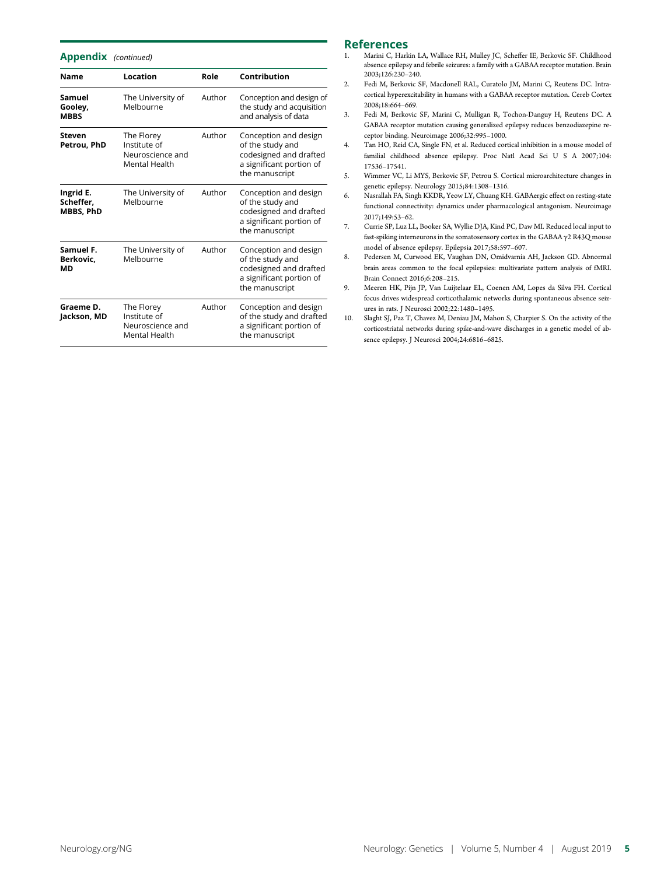Appendix (continued)

| <b>Name</b>                                | Location                                                               | Role   | Contribution                                                                                                      |  |  |
|--------------------------------------------|------------------------------------------------------------------------|--------|-------------------------------------------------------------------------------------------------------------------|--|--|
| Samuel<br>Gooley,<br><b>MBBS</b>           | The University of<br>Melbourne                                         | Author | Conception and design of<br>the study and acquisition<br>and analysis of data                                     |  |  |
| <b>Steven</b><br>Petrou, PhD               | The Florey<br>Institute of<br>Neuroscience and<br>Mental Health        | Author | Conception and design<br>of the study and<br>codesigned and drafted<br>a significant portion of<br>the manuscript |  |  |
| Ingrid E.<br>Scheffer.<br><b>MBBS, PhD</b> | The University of<br>Melbourne                                         | Author | Conception and design<br>of the study and<br>codesigned and drafted<br>a significant portion of<br>the manuscript |  |  |
| Samuel F.<br>Berkovic.<br>МD               | The University of<br>Melbourne                                         | Author | Conception and design<br>of the study and<br>codesigned and drafted<br>a significant portion of<br>the manuscript |  |  |
| Graeme D.<br>Jackson, MD                   | The Florey<br>Institute of<br>Neuroscience and<br><b>Mental Health</b> | Author | Conception and design<br>of the study and drafted<br>a significant portion of<br>the manuscript                   |  |  |

# References<br>1. Marini C. Hark

- 1. Marini C, Harkin LA, Wallace RH, Mulley JC, Scheffer IE, Berkovic SF. Childhood absence epilepsy and febrile seizures: a family with a GABAA receptor mutation. Brain 2003;126:230–240.
- 2. Fedi M, Berkovic SF, Macdonell RAL, Curatolo JM, Marini C, Reutens DC. Intracortical hyperexcitability in humans with a GABAA receptor mutation. Cereb Cortex 2008;18:664–669.
- 3. Fedi M, Berkovic SF, Marini C, Mulligan R, Tochon-Danguy H, Reutens DC. A GABAA receptor mutation causing generalized epilepsy reduces benzodiazepine receptor binding. Neuroimage 2006;32:995–1000.
- 4. Tan HO, Reid CA, Single FN, et al. Reduced cortical inhibition in a mouse model of familial childhood absence epilepsy. Proc Natl Acad Sci U S A 2007;104: 17536–17541.
- 5. Wimmer VC, Li MYS, Berkovic SF, Petrou S. Cortical microarchitecture changes in genetic epilepsy. Neurology 2015;84:1308–1316.
- 6. Nasrallah FA, Singh KKDR, Yeow LY, Chuang KH. GABAergic effect on resting-state functional connectivity: dynamics under pharmacological antagonism. Neuroimage 2017;149:53–62.
- 7. Currie SP, Luz LL, Booker SA, Wyllie DJA, Kind PC, Daw MI. Reduced local input to fast-spiking interneurons in the somatosensory cortex in the GABAA γ2 R43Q mouse model of absence epilepsy. Epilepsia 2017;58:597–607.
- 8. Pedersen M, Curwood EK, Vaughan DN, Omidvarnia AH, Jackson GD. Abnormal brain areas common to the focal epilepsies: multivariate pattern analysis of fMRI. Brain Connect 2016;6:208–215.
- 9. Meeren HK, Pijn JP, Van Luijtelaar EL, Coenen AM, Lopes da Silva FH. Cortical focus drives widespread corticothalamic networks during spontaneous absence seizures in rats. J Neurosci 2002;22:1480–1495.
- 10. Slaght SJ, Paz T, Chavez M, Deniau JM, Mahon S, Charpier S. On the activity of the corticostriatal networks during spike-and-wave discharges in a genetic model of absence epilepsy. J Neurosci 2004;24:6816–6825.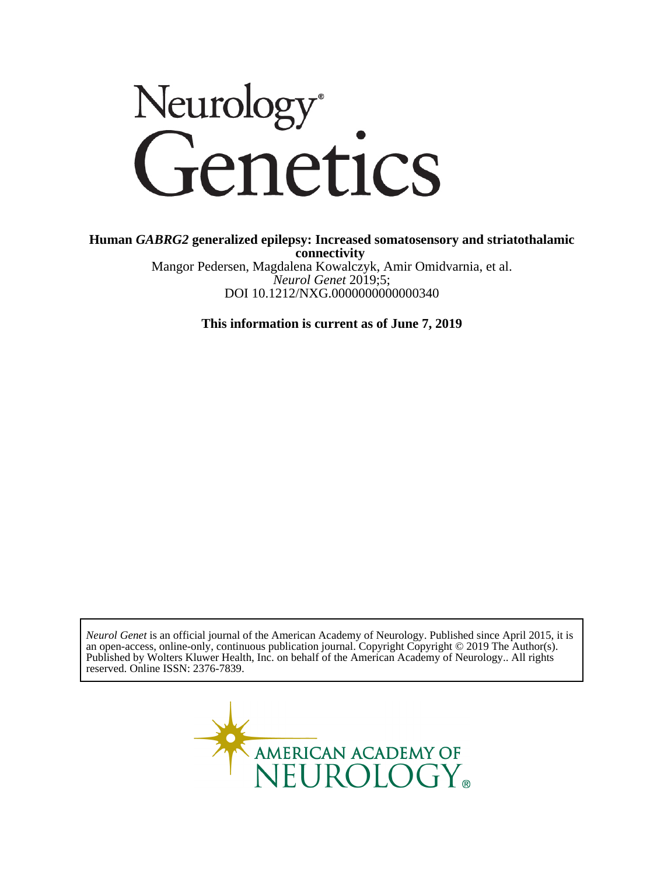

DOI 10.1212/NXG.0000000000000340 *Neurol Genet* 2019;5; Mangor Pedersen, Magdalena Kowalczyk, Amir Omidvarnia, et al. **connectivity Human** *GABRG2* **generalized epilepsy: Increased somatosensory and striatothalamic**

**This information is current as of June 7, 2019**

reserved. Online ISSN: 2376-7839. Published by Wolters Kluwer Health, Inc. on behalf of the American Academy of Neurology.. All rights an open-access, online-only, continuous publication journal. Copyright Copyright © 2019 The Author(s). *Neurol Genet* is an official journal of the American Academy of Neurology. Published since April 2015, it is